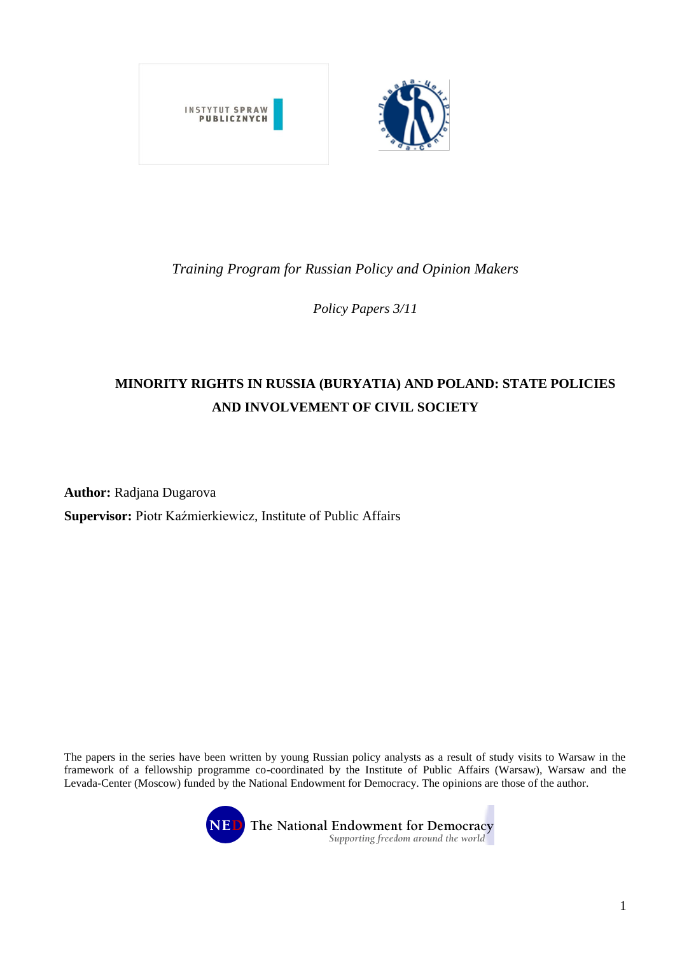

## *Training Program for Russian Policy and Opinion Makers*

*Policy Papers 3/11*

# **MINORITY RIGHTS IN RUSSIA (BURYATIA) AND POLAND: STATE POLICIES AND INVOLVEMENT OF CIVIL SOCIETY**

**Author:** Radjana Dugarova

**Supervisor:** Piotr Kaźmierkiewicz, Institute of Public Affairs

The papers in the series have been written by young Russian policy analysts as a result of study visits to Warsaw in the framework of a fellowship programme co-coordinated by the Institute of Public Affairs (Warsaw), Warsaw and the Levada-Center (Moscow) funded by the National Endowment for Democracy. The opinions are those of the author.



**NED** The National Endowment for Democracy Supporting freedom around the world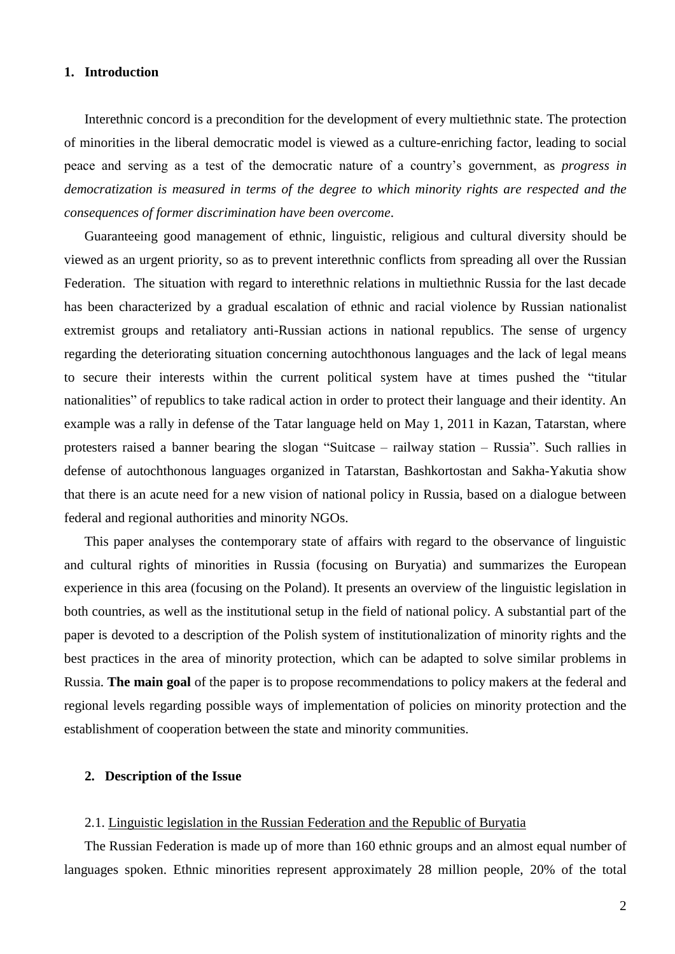## **1. Introduction**

Interethnic concord is a precondition for the development of every multiethnic state. The protection of minorities in the liberal democratic model is viewed as a culture-enriching factor, leading to social peace and serving as a test of the democratic nature of a country's government, as *progress in democratization is measured in terms of the degree to which minority rights are respected and the consequences of former discrimination have been overcome*.

Guaranteeing good management of ethnic, linguistic, religious and cultural diversity should be viewed as an urgent priority, so as to prevent interethnic conflicts from spreading all over the Russian Federation. The situation with regard to interethnic relations in multiethnic Russia for the last decade has been characterized by a gradual escalation of ethnic and racial violence by Russian nationalist extremist groups and retaliatory anti-Russian actions in national republics. The sense of urgency regarding the deteriorating situation concerning autochthonous languages and the lack of legal means to secure their interests within the current political system have at times pushed the "titular nationalities" of republics to take radical action in order to protect their language and their identity. An example was a rally in defense of the Tatar language held on May 1, 2011 in Kazan, Tatarstan, where protesters raised a banner bearing the slogan "Suitcase – railway station – Russia". Such rallies in defense of autochthonous languages organized in Tatarstan, Bashkortostan and Sakha-Yakutia show that there is an acute need for a new vision of national policy in Russia, based on a dialogue between federal and regional authorities and minority NGOs.

This paper analyses the contemporary state of affairs with regard to the observance of linguistic and cultural rights of minorities in Russia (focusing on Buryatia) and summarizes the European experience in this area (focusing on the Poland). It presents an overview of the linguistic legislation in both countries, as well as the institutional setup in the field of national policy. A substantial part of the paper is devoted to a description of the Polish system of institutionalization of minority rights and the best practices in the area of minority protection, which can be adapted to solve similar problems in Russia. **The main goal** of the paper is to propose recommendations to policy makers at the federal and regional levels regarding possible ways of implementation of policies on minority protection and the establishment of cooperation between the state and minority communities.

## **2. Description of the Issue**

#### 2.1. Linguistic legislation in the Russian Federation and the Republic of Buryatia

The Russian Federation is made up of more than 160 ethnic groups and an almost equal number of languages spoken. Ethnic minorities represent approximately 28 million people, 20% of the total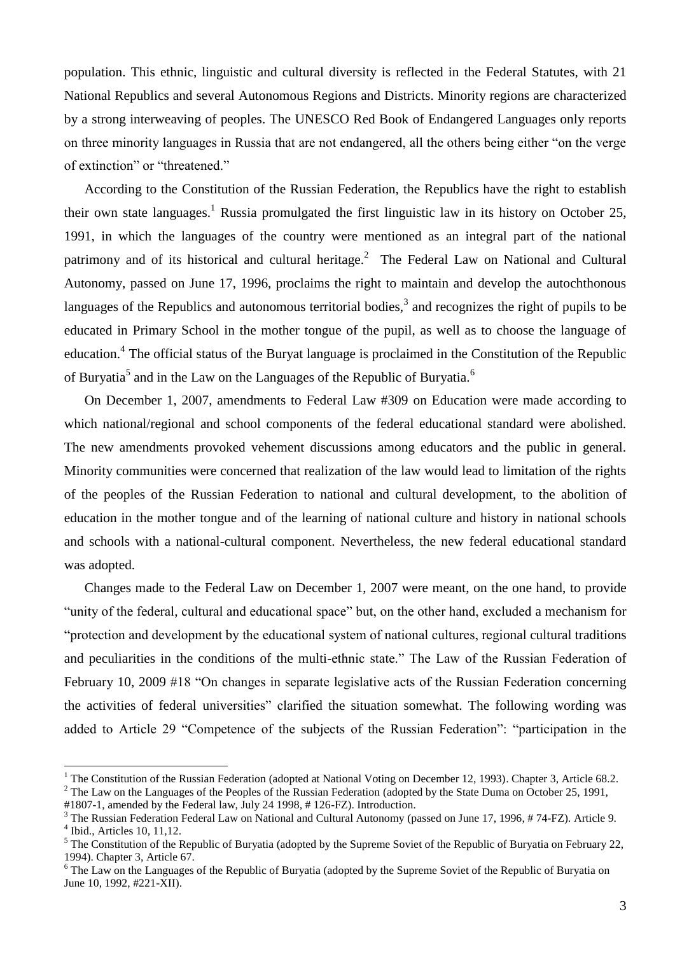population. This ethnic, linguistic and cultural diversity is reflected in the Federal Statutes, with 21 National Republics and several Autonomous Regions and Districts. Minority regions are characterized by a strong interweaving of peoples. The UNESCO Red Book of Endangered Languages only reports on three minority languages in Russia that are not endangered, all the others being either "on the verge of extinction" or "threatened."

According to the Constitution of the Russian Federation, the Republics have the right to establish their own state languages. <sup>1</sup> Russia promulgated the first linguistic law in its history on October 25, 1991, in which the languages of the country were mentioned as an integral part of the national patrimony and of its historical and cultural heritage.<sup>2</sup> The Federal Law on National and Cultural Autonomy, passed on June 17, 1996, proclaims the right to maintain and develop the autochthonous languages of the Republics and autonomous territorial bodies, $3$  and recognizes the right of pupils to be educated in Primary School in the mother tongue of the pupil, as well as to choose the language of education.<sup>4</sup> The official status of the Buryat language is proclaimed in the Constitution of the Republic of Buryatia<sup>5</sup> and in the Law on the Languages of the Republic of Buryatia.<sup>6</sup>

On December 1, 2007, amendments to Federal Law #309 on Education were made according to which national/regional and school components of the federal educational standard were abolished. The new amendments provoked vehement discussions among educators and the public in general. Minority communities were concerned that realization of the law would lead to limitation of the rights of the peoples of the Russian Federation to national and cultural development, to the abolition of education in the mother tongue and of the learning of national culture and history in national schools and schools with a national-cultural component. Nevertheless, the new federal educational standard was adopted.

Changes made to the Federal Law on December 1, 2007 were meant, on the one hand, to provide "unity of the federal, cultural and educational space" but, on the other hand, excluded a mechanism for "protection and development by the educational system of national cultures, regional cultural traditions and peculiarities in the conditions of the multi-ethnic state." The Law of the Russian Federation of February 10, 2009 #18 "On changes in separate legislative acts of the Russian Federation concerning the activities of federal universities" clarified the situation somewhat. The following wording was added to Article 29 "Competence of the subjects of the Russian Federation": "participation in the

<u>.</u>

 $1$  The Constitution of the Russian Federation (adopted at National Voting on December 12, 1993). Chapter 3, Article 68.2.  $2$  The Law on the Languages of the Peoples of the Russian Federation (adopted by the State Duma on October 25, 1991,

<sup>#1807-1,</sup> amended by the Federal law, July 24 1998, # 126-FZ). Introduction.

<sup>&</sup>lt;sup>3</sup> The Russian Federation Federal Law on National and Cultural Autonomy (passed on June 17, 1996, #74-FZ). Article 9. 4 Ibid., Articles 10, 11,12.

<sup>&</sup>lt;sup>5</sup> The Constitution of the Republic of Buryatia (adopted by the Supreme Soviet of the Republic of Buryatia on February 22, 1994). Chapter 3, Article 67.

<sup>&</sup>lt;sup>6</sup> The Law on the Languages of the Republic of Buryatia (adopted by the Supreme Soviet of the Republic of Buryatia on June 10, 1992, #221-XII).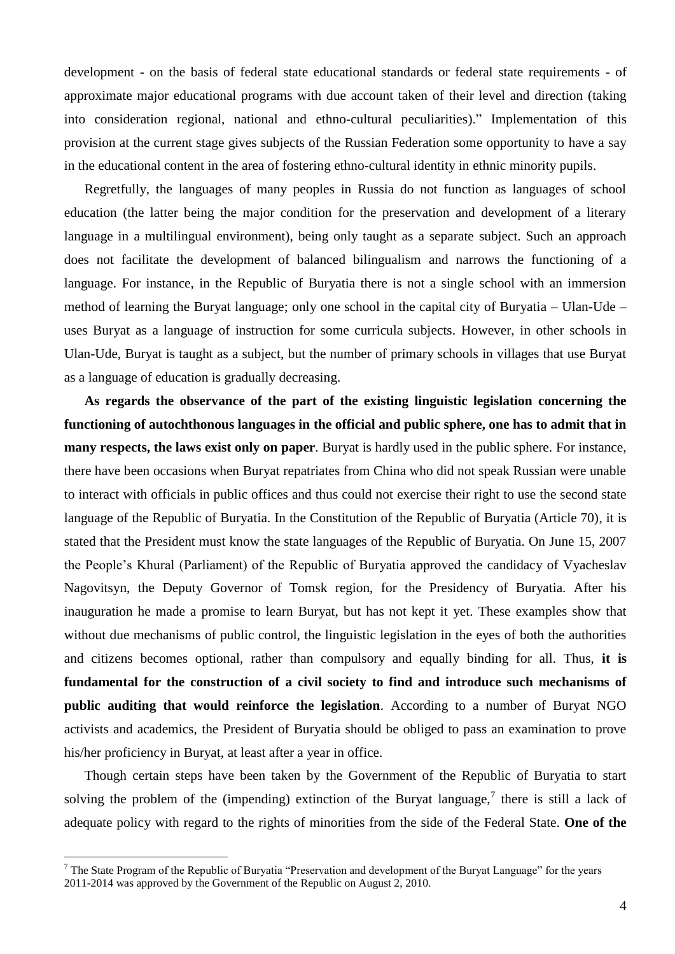development - on the basis of federal state educational standards or federal state requirements - of approximate major educational programs with due account taken of their level and direction (taking into consideration regional, national and ethno-cultural peculiarities)." Implementation of this provision at the current stage gives subjects of the Russian Federation some opportunity to have a say in the educational content in the area of fostering ethno-cultural identity in ethnic minority pupils.

Regretfully, the languages of many peoples in Russia do not function as languages of school education (the latter being the major condition for the preservation and development of a literary language in a multilingual environment), being only taught as a separate subject. Such an approach does not facilitate the development of balanced bilingualism and narrows the functioning of a language. For instance, in the Republic of Buryatia there is not a single school with an immersion method of learning the Buryat language; only one school in the capital city of Buryatia – Ulan-Ude – uses Buryat as a language of instruction for some curricula subjects. However, in other schools in Ulan-Ude, Buryat is taught as a subject, but the number of primary schools in villages that use Buryat as a language of education is gradually decreasing.

**As regards the observance of the part of the existing linguistic legislation concerning the functioning of autochthonous languages in the official and public sphere, one has to admit that in many respects, the laws exist only on paper**. Buryat is hardly used in the public sphere. For instance, there have been occasions when Buryat repatriates from China who did not speak Russian were unable to interact with officials in public offices and thus could not exercise their right to use the second state language of the Republic of Buryatia. In the Constitution of the Republic of Buryatia (Article 70), it is stated that the President must know the state languages of the Republic of Buryatia. On June 15, 2007 the People's Khural (Parliament) of the Republic of Buryatia approved the candidacy of Vyacheslav Nagovitsyn, the Deputy Governor of Tomsk region, for the Presidency of Buryatia. After his inauguration he made a promise to learn Buryat, but has not kept it yet. These examples show that without due mechanisms of public control, the linguistic legislation in the eyes of both the authorities and citizens becomes optional, rather than compulsory and equally binding for all. Thus, **it is fundamental for the construction of a civil society to find and introduce such mechanisms of public auditing that would reinforce the legislation**. According to a number of Buryat NGO activists and academics, the President of Buryatia should be obliged to pass an examination to prove his/her proficiency in Buryat, at least after a year in office.

Though certain steps have been taken by the Government of the Republic of Buryatia to start solving the problem of the (impending) extinction of the Buryat language,<sup>7</sup> there is still a lack of adequate policy with regard to the rights of minorities from the side of the Federal State. **One of the** 

1

 $7$  The State Program of the Republic of Buryatia "Preservation and development of the Buryat Language" for the years 2011-2014 was approved by the Government of the Republic on August 2, 2010.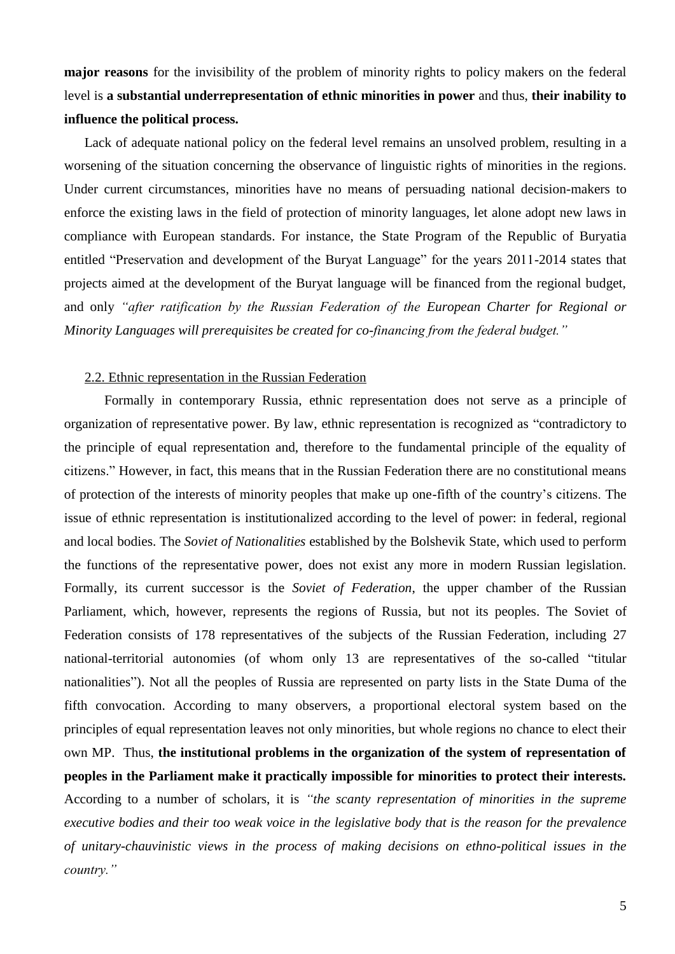**major reasons** for the invisibility of the problem of minority rights to policy makers on the federal level is **a substantial underrepresentation of ethnic minorities in power** and thus, **their inability to influence the political process.** 

Lack of adequate national policy on the federal level remains an unsolved problem, resulting in a worsening of the situation concerning the observance of linguistic rights of minorities in the regions. Under current circumstances, minorities have no means of persuading national decision-makers to enforce the existing laws in the field of protection of minority languages, let alone adopt new laws in compliance with European standards. For instance, the State Program of the Republic of Buryatia entitled "Preservation and development of the Buryat Language" for the years 2011-2014 states that projects aimed at the development of the Buryat language will be financed from the regional budget, and only *"after ratification by the Russian Federation of the European Charter for Regional or Minority Languages will prerequisites be created for co-financing from the federal budget."*

#### 2.2. Ethnic representation in the Russian Federation

Formally in contemporary Russia, ethnic representation does not serve as a principle of organization of representative power. By law, ethnic representation is recognized as "contradictory to the principle of equal representation and, therefore to the fundamental principle of the equality of citizens." However, in fact, this means that in the Russian Federation there are no constitutional means of protection of the interests of minority peoples that make up one-fifth of the country's citizens. The issue of ethnic representation is institutionalized according to the level of power: in federal, regional and local bodies. The *Soviet of Nationalities* established by the Bolshevik State, which used to perform the functions of the representative power, does not exist any more in modern Russian legislation. Formally, its current successor is the *Soviet of Federation*, the upper chamber of the Russian Parliament, which, however, represents the regions of Russia, but not its peoples. The Soviet of Federation consists of 178 representatives of the subjects of the Russian Federation, including 27 national-territorial autonomies (of whom only 13 are representatives of the so-called "titular nationalities"). Not all the peoples of Russia are represented on party lists in the State Duma of the fifth convocation. According to many observers, a proportional electoral system based on the principles of equal representation leaves not only minorities, but whole regions no chance to elect their own MP. Thus, **the institutional problems in the organization of the system of representation of peoples in the Parliament make it practically impossible for minorities to protect their interests.** According to a number of scholars, it is *"the scanty representation of minorities in the supreme executive bodies and their too weak voice in the legislative body that is the reason for the prevalence of unitary-chauvinistic views in the process of making decisions on ethno-political issues in the country."*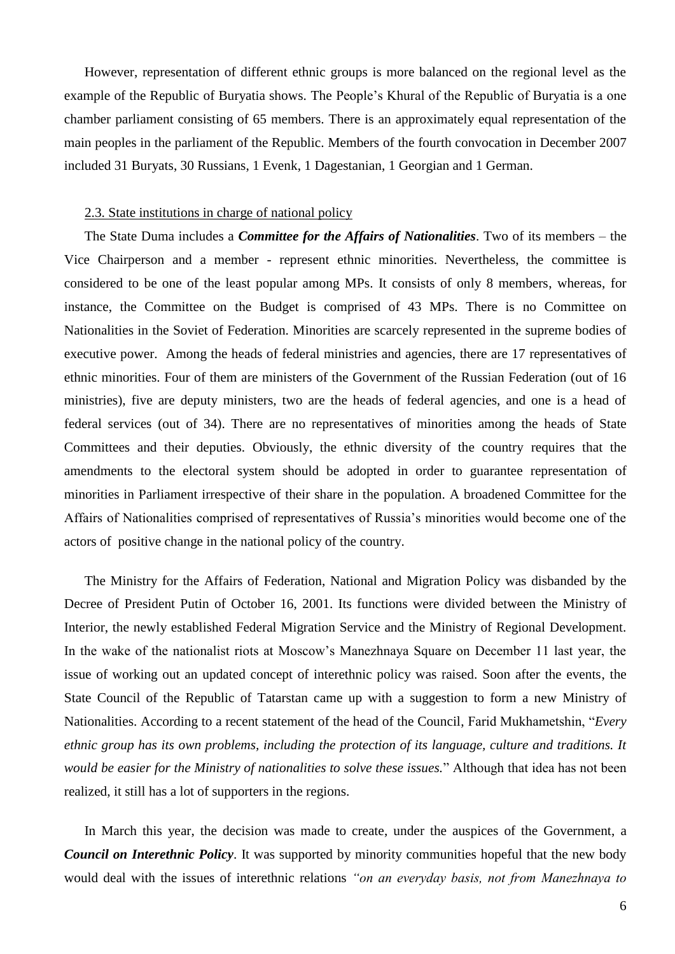However, representation of different ethnic groups is more balanced on the regional level as the example of the Republic of Buryatia shows. The People's Khural of the Republic of Buryatia is a one chamber parliament consisting of 65 members. There is an approximately equal representation of the main peoples in the parliament of the Republic. Members of the fourth convocation in December 2007 included 31 Buryats, 30 Russians, 1 Evenk, 1 Dagestanian, 1 Georgian and 1 German.

#### 2.3. State institutions in charge of national policy

The State Duma includes a *Committee for the Affairs of Nationalities*. Two of its members – the Vice Chairperson and a member - represent ethnic minorities. Nevertheless, the committee is considered to be one of the least popular among MPs. It consists of only 8 members, whereas, for instance, the Committee on the Budget is comprised of 43 MPs. There is no Committee on Nationalities in the Soviet of Federation. Minorities are scarcely represented in the supreme bodies of executive power. Among the heads of federal ministries and agencies, there are 17 representatives of ethnic minorities. Four of them are ministers of the Government of the Russian Federation (out of 16 ministries), five are deputy ministers, two are the heads of federal agencies, and one is a head of federal services (out of 34). There are no representatives of minorities among the heads of State Committees and their deputies. Obviously, the ethnic diversity of the country requires that the amendments to the electoral system should be adopted in order to guarantee representation of minorities in Parliament irrespective of their share in the population. A broadened Committee for the Affairs of Nationalities comprised of representatives of Russia's minorities would become one of the actors of positive change in the national policy of the country.

The Ministry for the Affairs of Federation, National and Migration Policy was disbanded by the Decree of President Putin of October 16, 2001. Its functions were divided between the Ministry of Interior, the newly established Federal Migration Service and the Ministry of Regional Development. In the wake of the nationalist riots at Moscow's Manezhnaya Square on December 11 last year, the issue of working out an updated concept of interethnic policy was raised. Soon after the events, the State Council of the Republic of Tatarstan came up with a suggestion to form a new Ministry of Nationalities. According to a recent statement of the head of the Council, Farid Mukhametshin, "*Every ethnic group has its own problems, including the protection of its language, culture and traditions. It would be easier for the Ministry of nationalities to solve these issues.*" Although that idea has not been realized, it still has a lot of supporters in the regions.

In March this year, the decision was made to create, under the auspices of the Government, a *Council on Interethnic Policy*. It was supported by minority communities hopeful that the new body would deal with the issues of interethnic relations *"on an everyday basis, not from Manezhnaya to*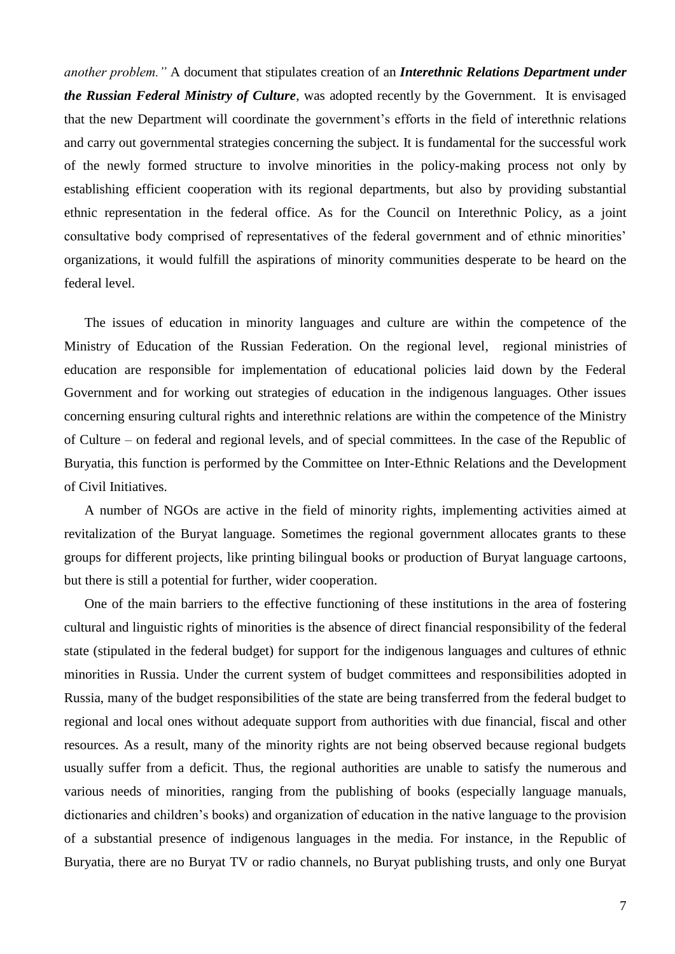*another problem."* A document that stipulates creation of an *Interethnic Relations Department under the Russian Federal Ministry of Culture*, was adopted recently by the Government. It is envisaged that the new Department will coordinate the government's efforts in the field of interethnic relations and carry out governmental strategies concerning the subject. It is fundamental for the successful work of the newly formed structure to involve minorities in the policy-making process not only by establishing efficient cooperation with its regional departments, but also by providing substantial ethnic representation in the federal office. As for the Council on Interethnic Policy, as a joint consultative body comprised of representatives of the federal government and of ethnic minorities' organizations, it would fulfill the aspirations of minority communities desperate to be heard on the federal level.

The issues of education in minority languages and culture are within the competence of the Ministry of Education of the Russian Federation. On the regional level, regional ministries of education are responsible for implementation of educational policies laid down by the Federal Government and for working out strategies of education in the indigenous languages. Other issues concerning ensuring cultural rights and interethnic relations are within the competence of the Ministry of Culture – on federal and regional levels, and of special committees. In the case of the Republic of Buryatia, this function is performed by the Committee on Inter-Ethnic Relations and the Development of Civil Initiatives.

A number of NGOs are active in the field of minority rights, implementing activities aimed at revitalization of the Buryat language. Sometimes the regional government allocates grants to these groups for different projects, like printing bilingual books or production of Buryat language cartoons, but there is still a potential for further, wider cooperation.

One of the main barriers to the effective functioning of these institutions in the area of fostering cultural and linguistic rights of minorities is the absence of direct financial responsibility of the federal state (stipulated in the federal budget) for support for the indigenous languages and cultures of ethnic minorities in Russia. Under the current system of budget committees and responsibilities adopted in Russia, many of the budget responsibilities of the state are being transferred from the federal budget to regional and local ones without adequate support from authorities with due financial, fiscal and other resources. As a result, many of the minority rights are not being observed because regional budgets usually suffer from a deficit. Thus, the regional authorities are unable to satisfy the numerous and various needs of minorities, ranging from the publishing of books (especially language manuals, dictionaries and children's books) and organization of education in the native language to the provision of a substantial presence of indigenous languages in the media. For instance, in the Republic of Buryatia, there are no Buryat TV or radio channels, no Buryat publishing trusts, and only one Buryat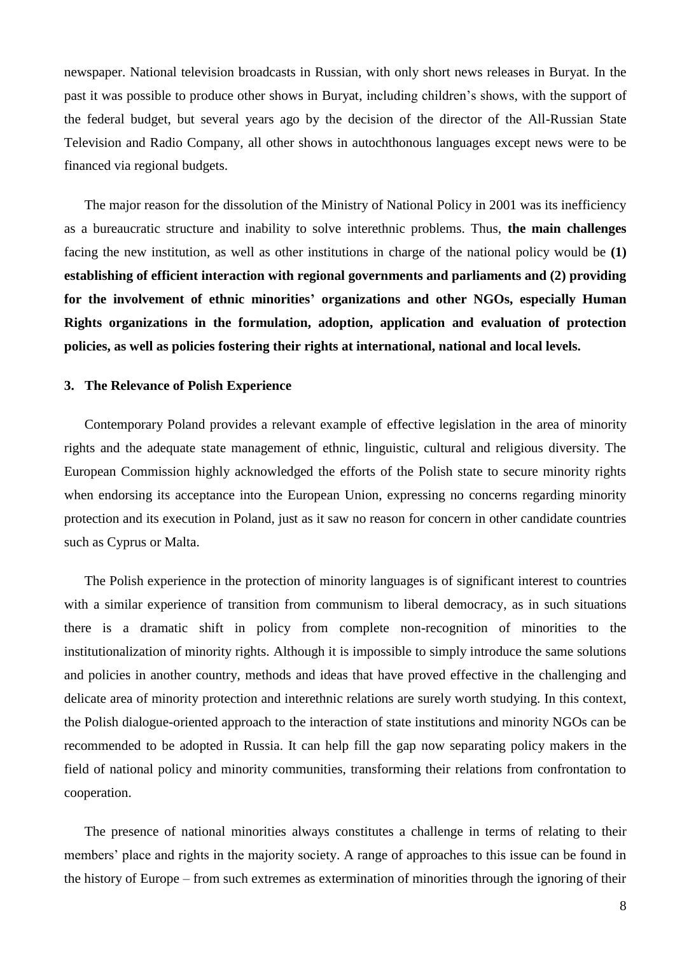newspaper. National television broadcasts in Russian, with only short news releases in Buryat. In the past it was possible to produce other shows in Buryat, including children's shows, with the support of the federal budget, but several years ago by the decision of the director of the All-Russian State Television and Radio Company, all other shows in autochthonous languages except news were to be financed via regional budgets.

The major reason for the dissolution of the Ministry of National Policy in 2001 was its inefficiency as a bureaucratic structure and inability to solve interethnic problems. Thus, **the main challenges**  facing the new institution, as well as other institutions in charge of the national policy would be **(1) establishing of efficient interaction with regional governments and parliaments and (2) providing for the involvement of ethnic minorities' organizations and other NGOs, especially Human Rights organizations in the formulation, adoption, application and evaluation of protection policies, as well as policies fostering their rights at international, national and local levels.** 

#### **3. The Relevance of Polish Experience**

Contemporary Poland provides a relevant example of effective legislation in the area of minority rights and the adequate state management of ethnic, linguistic, cultural and religious diversity. The European Commission highly acknowledged the efforts of the Polish state to secure minority rights when endorsing its acceptance into the European Union, expressing no concerns regarding minority protection and its execution in Poland, just as it saw no reason for concern in other candidate countries such as Cyprus or Malta.

The Polish experience in the protection of minority languages is of significant interest to countries with a similar experience of transition from communism to liberal democracy, as in such situations there is a dramatic shift in policy from complete non-recognition of minorities to the institutionalization of minority rights. Although it is impossible to simply introduce the same solutions and policies in another country, methods and ideas that have proved effective in the challenging and delicate area of minority protection and interethnic relations are surely worth studying. In this context, the Polish dialogue-oriented approach to the interaction of state institutions and minority NGOs can be recommended to be adopted in Russia. It can help fill the gap now separating policy makers in the field of national policy and minority communities, transforming their relations from confrontation to cooperation.

The presence of national minorities always constitutes a challenge in terms of relating to their members' place and rights in the majority society. A range of approaches to this issue can be found in the history of Europe – from such extremes as extermination of minorities through the ignoring of their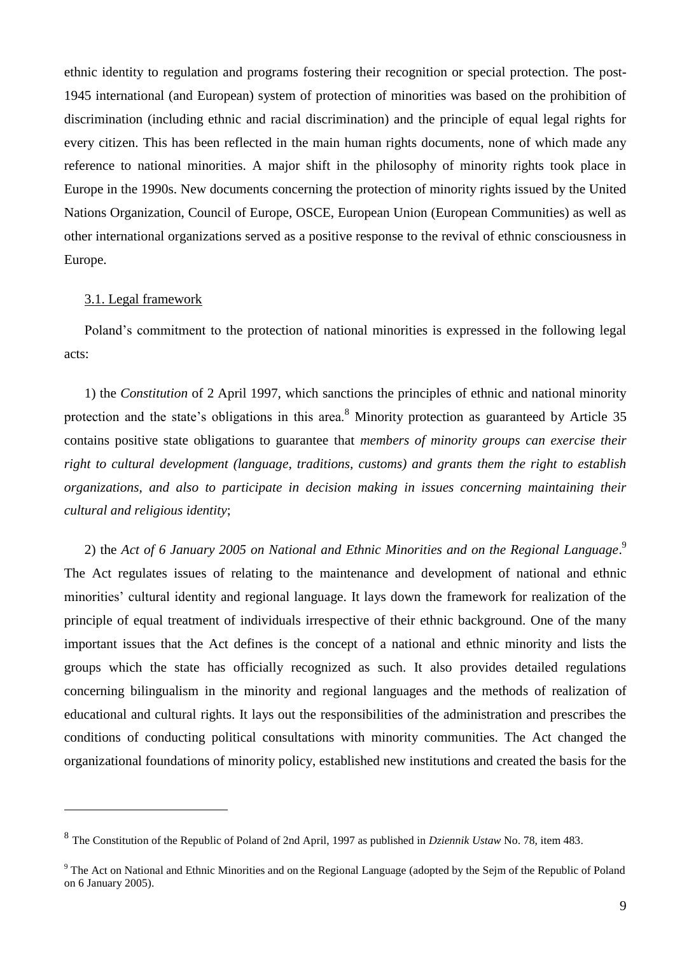ethnic identity to regulation and programs fostering their recognition or special protection. The post-1945 international (and European) system of protection of minorities was based on the prohibition of discrimination (including ethnic and racial discrimination) and the principle of equal legal rights for every citizen. This has been reflected in the main human rights documents, none of which made any reference to national minorities. A major shift in the philosophy of minority rights took place in Europe in the 1990s. New documents concerning the protection of minority rights issued by the United Nations Organization, Council of Europe, OSCE, European Union (European Communities) as well as other international organizations served as a positive response to the revival of ethnic consciousness in Europe.

#### 3.1. Legal framework

<u>.</u>

Poland's commitment to the protection of national minorities is expressed in the following legal acts:

1) the *Constitution* of 2 April 1997, which sanctions the principles of ethnic and national minority protection and the state's obligations in this area.<sup>8</sup> Minority protection as guaranteed by Article 35 contains positive state obligations to guarantee that *members of minority groups can exercise their right to cultural development (language, traditions, customs) and grants them the right to establish organizations, and also to participate in decision making in issues concerning maintaining their cultural and religious identity*;

2) the *Act of 6 January 2005 on National and Ethnic Minorities and on the Regional Language*. 9 The Act regulates issues of relating to the maintenance and development of national and ethnic minorities' cultural identity and regional language. It lays down the framework for realization of the principle of equal treatment of individuals irrespective of their ethnic background. One of the many important issues that the Act defines is the concept of a national and ethnic minority and lists the groups which the state has officially recognized as such. It also provides detailed regulations concerning bilingualism in the minority and regional languages and the methods of realization of educational and cultural rights. It lays out the responsibilities of the administration and prescribes the conditions of conducting political consultations with minority communities. The Act changed the organizational foundations of minority policy, established new institutions and created the basis for the

<sup>8</sup> The Constitution of the Republic of Poland of 2nd April, 1997 as published in *Dziennik Ustaw* No. 78, item 483.

<sup>&</sup>lt;sup>9</sup> The Act on National and Ethnic Minorities and on the Regional Language (adopted by the Sejm of the Republic of Poland on 6 January 2005).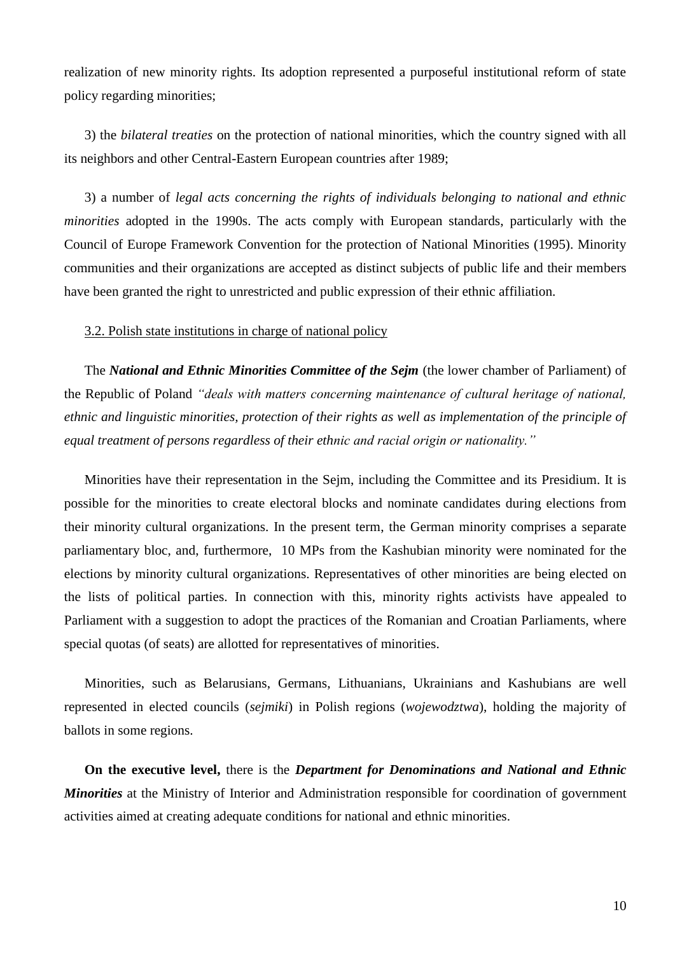realization of new minority rights. Its adoption represented a purposeful institutional reform of state policy regarding minorities;

3) the *bilateral treaties* on the protection of national minorities, which the country signed with all its neighbors and other Central-Eastern European countries after 1989;

3) a number of *legal acts concerning the rights of individuals belonging to national and ethnic minorities* adopted in the 1990s. The acts comply with European standards, particularly with the Council of Europe Framework Convention for the protection of National Minorities (1995). Minority communities and their organizations are accepted as distinct subjects of public life and their members have been granted the right to unrestricted and public expression of their ethnic affiliation.

3.2. Polish state institutions in charge of national policy

The *National and Ethnic Minorities Committee of the Sejm* (the lower chamber of Parliament) of the Republic of Poland *"deals with matters concerning maintenance of cultural heritage of national, ethnic and linguistic minorities, protection of their rights as well as implementation of the principle of equal treatment of persons regardless of their ethnic and racial origin or nationality."*

Minorities have their representation in the Sejm, including the Committee and its Presidium. It is possible for the minorities to create electoral blocks and nominate candidates during elections from their minority cultural organizations. In the present term, the German minority comprises a separate parliamentary bloc, and, furthermore, 10 MPs from the Kashubian minority were nominated for the elections by minority cultural organizations. Representatives of other minorities are being elected on the lists of political parties. In connection with this, minority rights activists have appealed to Parliament with a suggestion to adopt the practices of the Romanian and Croatian Parliaments, where special quotas (of seats) are allotted for representatives of minorities.

Minorities, such as Belarusians, Germans, Lithuanians, Ukrainians and Kashubians are well represented in elected councils (*sejmiki*) in Polish regions (*wojewodztwa*), holding the majority of ballots in some regions.

**On the executive level,** there is the *Department for Denominations and National and Ethnic Minorities* at the Ministry of Interior and Administration responsible for coordination of government activities aimed at creating adequate conditions for national and ethnic minorities.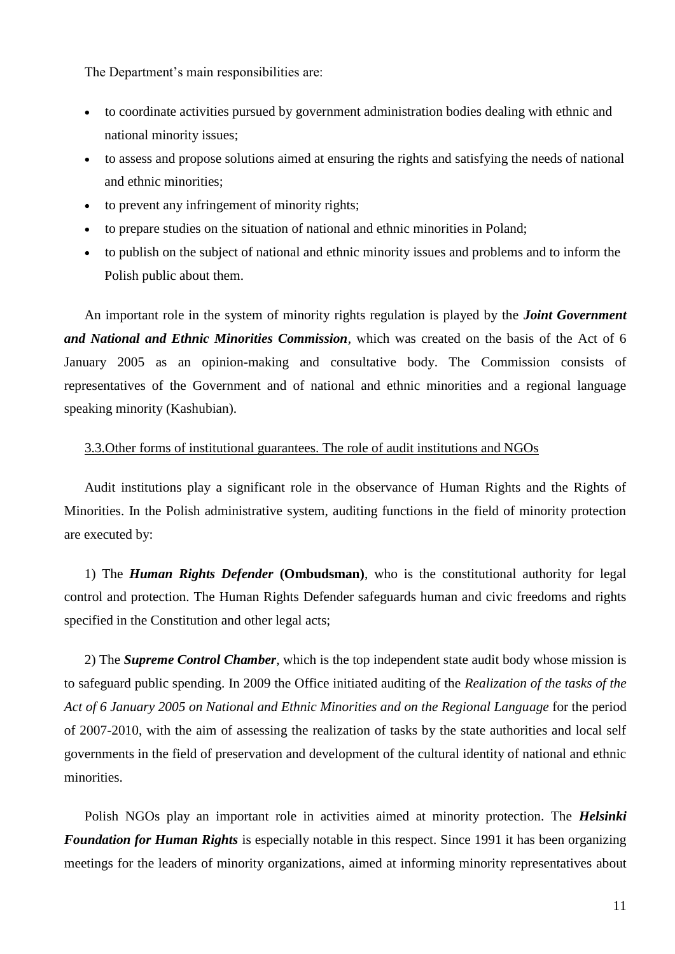The Department's main responsibilities are:

- to coordinate activities pursued by government administration bodies dealing with ethnic and national minority issues;
- to assess and propose solutions aimed at ensuring the rights and satisfying the needs of national and ethnic minorities;
- to prevent any infringement of minority rights;
- to prepare studies on the situation of national and ethnic minorities in Poland;
- to publish on the subject of national and ethnic minority issues and problems and to inform the Polish public about them.

An important role in the system of minority rights regulation is played by the *Joint Government and National and Ethnic Minorities Commission,* which was created on the basis of the Act of 6 January 2005 as an opinion-making and consultative body. The Commission consists of representatives of the Government and of national and ethnic minorities and a regional language speaking minority (Kashubian).

### 3.3.Other forms of institutional guarantees. The role of audit institutions and NGOs

Audit institutions play a significant role in the observance of Human Rights and the Rights of Minorities. In the Polish administrative system, auditing functions in the field of minority protection are executed by:

1) The *Human Rights Defender* **(Ombudsman)**, who is the constitutional authority for legal control and protection. The Human Rights Defender safeguards human and civic freedoms and rights specified in the Constitution and other legal acts;

2) The *Supreme Control Chamber*, which is the top independent state audit body whose mission is to safeguard public spending. In 2009 the Office initiated auditing of the *Realization of the tasks of the Act of 6 January 2005 on National and Ethnic Minorities and on the Regional Language* for the period of 2007-2010, with the aim of assessing the realization of tasks by the state authorities and local self governments in the field of preservation and development of the cultural identity of national and ethnic minorities.

Polish NGOs play an important role in activities aimed at minority protection. The *Helsinki Foundation for Human Rights* is especially notable in this respect. Since 1991 it has been organizing meetings for the leaders of minority organizations, aimed at informing minority representatives about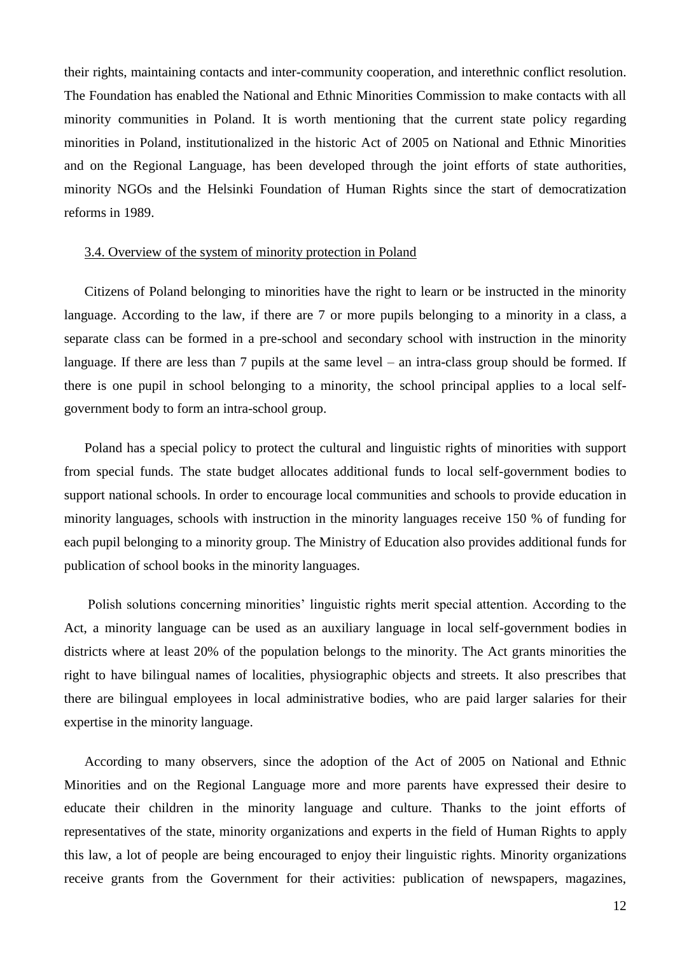their rights, maintaining contacts and inter-community cooperation, and interethnic conflict resolution. The Foundation has enabled the National and Ethnic Minorities Commission to make contacts with all minority communities in Poland. It is worth mentioning that the current state policy regarding minorities in Poland, institutionalized in the historic Act of 2005 on National and Ethnic Minorities and on the Regional Language, has been developed through the joint efforts of state authorities, minority NGOs and the Helsinki Foundation of Human Rights since the start of democratization reforms in 1989.

#### 3.4. Overview of the system of minority protection in Poland

Citizens of Poland belonging to minorities have the right to learn or be instructed in the minority language. According to the law, if there are 7 or more pupils belonging to a minority in a class, a separate class can be formed in a pre-school and secondary school with instruction in the minority language. If there are less than 7 pupils at the same level – an intra-class group should be formed. If there is one pupil in school belonging to a minority, the school principal applies to a local selfgovernment body to form an intra-school group.

Poland has a special policy to protect the cultural and linguistic rights of minorities with support from special funds. The state budget allocates additional funds to local self-government bodies to support national schools. In order to encourage local communities and schools to provide education in minority languages, schools with instruction in the minority languages receive 150 % of funding for each pupil belonging to a minority group. The Ministry of Education also provides additional funds for publication of school books in the minority languages.

Polish solutions concerning minorities' linguistic rights merit special attention. According to the Act, a minority language can be used as an auxiliary language in local self-government bodies in districts where at least 20% of the population belongs to the minority. The Act grants minorities the right to have bilingual names of localities, physiographic objects and streets. It also prescribes that there are bilingual employees in local administrative bodies, who are paid larger salaries for their expertise in the minority language.

According to many observers, since the adoption of the Act of 2005 on National and Ethnic Minorities and on the Regional Language more and more parents have expressed their desire to educate their children in the minority language and culture. Thanks to the joint efforts of representatives of the state, minority organizations and experts in the field of Human Rights to apply this law, a lot of people are being encouraged to enjoy their linguistic rights. Minority organizations receive grants from the Government for their activities: publication of newspapers, magazines,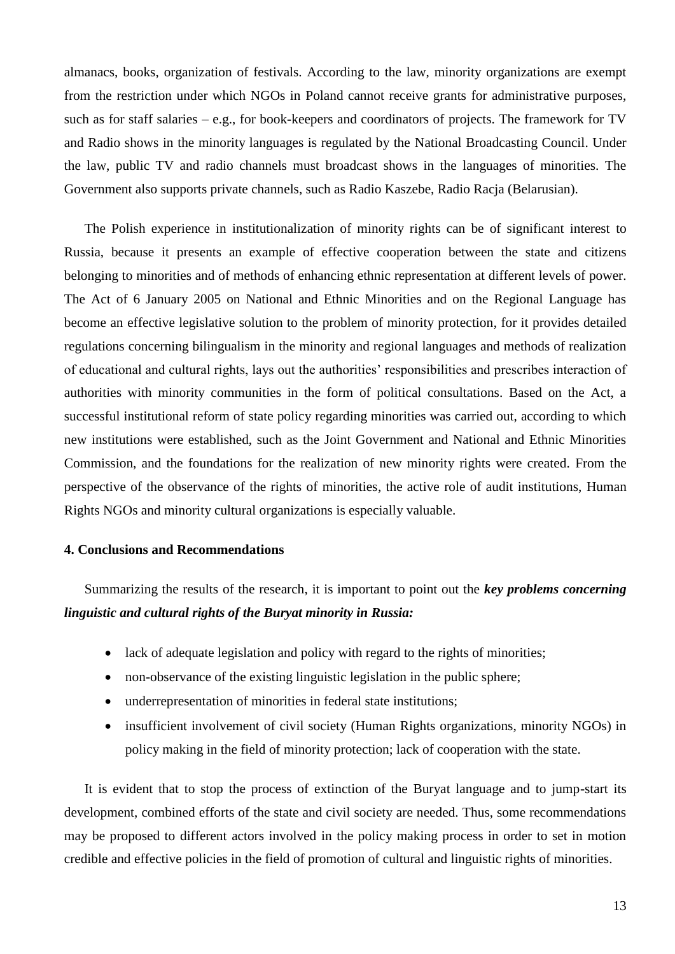almanacs, books, organization of festivals. According to the law, minority organizations are exempt from the restriction under which NGOs in Poland cannot receive grants for administrative purposes, such as for staff salaries – e.g., for book-keepers and coordinators of projects. The framework for TV and Radio shows in the minority languages is regulated by the National Broadcasting Council. Under the law, public TV and radio channels must broadcast shows in the languages of minorities. The Government also supports private channels, such as Radio Kaszebe, Radio Racja (Belarusian).

The Polish experience in institutionalization of minority rights can be of significant interest to Russia, because it presents an example of effective cooperation between the state and citizens belonging to minorities and of methods of enhancing ethnic representation at different levels of power. The Act of 6 January 2005 on National and Ethnic Minorities and on the Regional Language has become an effective legislative solution to the problem of minority protection, for it provides detailed regulations concerning bilingualism in the minority and regional languages and methods of realization of educational and cultural rights, lays out the authorities' responsibilities and prescribes interaction of authorities with minority communities in the form of political consultations. Based on the Act, a successful institutional reform of state policy regarding minorities was carried out, according to which new institutions were established, such as the Joint Government and National and Ethnic Minorities Commission, and the foundations for the realization of new minority rights were created. From the perspective of the observance of the rights of minorities, the active role of audit institutions, Human Rights NGOs and minority cultural organizations is especially valuable.

#### **4. Conclusions and Recommendations**

Summarizing the results of the research, it is important to point out the *key problems concerning linguistic and cultural rights of the Buryat minority in Russia:* 

- lack of adequate legislation and policy with regard to the rights of minorities;
- non-observance of the existing linguistic legislation in the public sphere;
- underrepresentation of minorities in federal state institutions;
- insufficient involvement of civil society (Human Rights organizations, minority NGOs) in policy making in the field of minority protection; lack of cooperation with the state.

It is evident that to stop the process of extinction of the Buryat language and to jump-start its development, combined efforts of the state and civil society are needed. Thus, some recommendations may be proposed to different actors involved in the policy making process in order to set in motion credible and effective policies in the field of promotion of cultural and linguistic rights of minorities.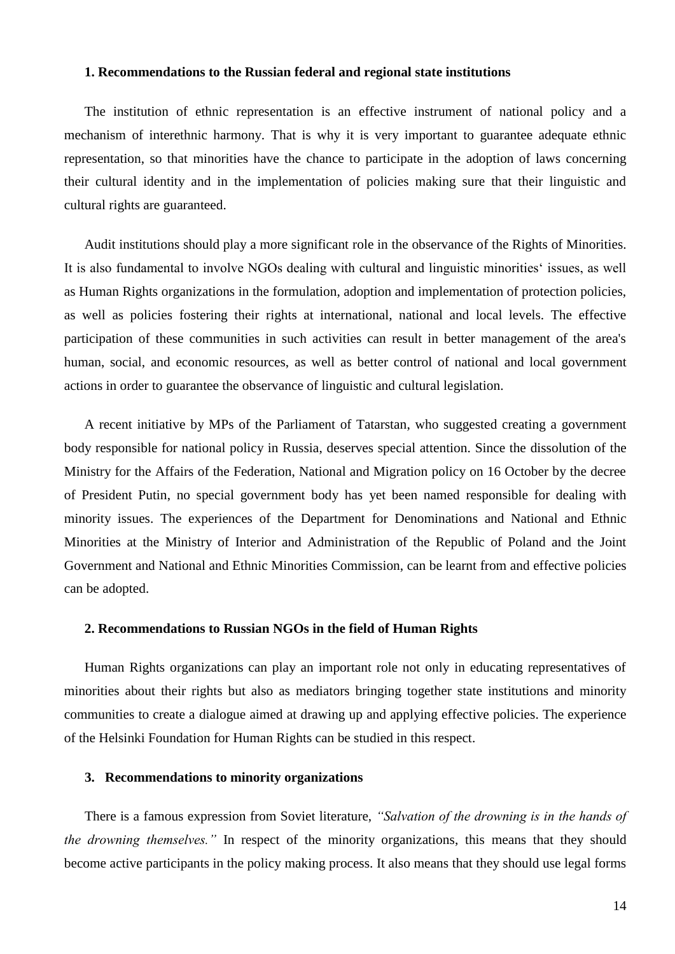#### **1. Recommendations to the Russian federal and regional state institutions**

The institution of ethnic representation is an effective instrument of national policy and a mechanism of interethnic harmony. That is why it is very important to guarantee adequate ethnic representation, so that minorities have the chance to participate in the adoption of laws concerning their cultural identity and in the implementation of policies making sure that their linguistic and cultural rights are guaranteed.

Audit institutions should play a more significant role in the observance of the Rights of Minorities. It is also fundamental to involve NGOs dealing with cultural and linguistic minorities' issues, as well as Human Rights organizations in the formulation, adoption and implementation of protection policies, as well as policies fostering their rights at international, national and local levels. The effective participation of these communities in such activities can result in better management of the area's human, social, and economic resources, as well as better control of national and local government actions in order to guarantee the observance of linguistic and cultural legislation.

A recent initiative by MPs of the Parliament of Tatarstan, who suggested creating a government body responsible for national policy in Russia, deserves special attention. Since the dissolution of the Ministry for the Affairs of the Federation, National and Migration policy on 16 October by the decree of President Putin, no special government body has yet been named responsible for dealing with minority issues. The experiences of the Department for Denominations and National and Ethnic Minorities at the Ministry of Interior and Administration of the Republic of Poland and the Joint Government and National and Ethnic Minorities Commission, can be learnt from and effective policies can be adopted.

#### **2. Recommendations to Russian NGOs in the field of Human Rights**

Human Rights organizations can play an important role not only in educating representatives of minorities about their rights but also as mediators bringing together state institutions and minority communities to create a dialogue aimed at drawing up and applying effective policies. The experience of the Helsinki Foundation for Human Rights can be studied in this respect.

## **3. Recommendations to minority organizations**

There is a famous expression from Soviet literature, *"Salvation of the drowning is in the hands of the drowning themselves."* In respect of the minority organizations, this means that they should become active participants in the policy making process. It also means that they should use legal forms